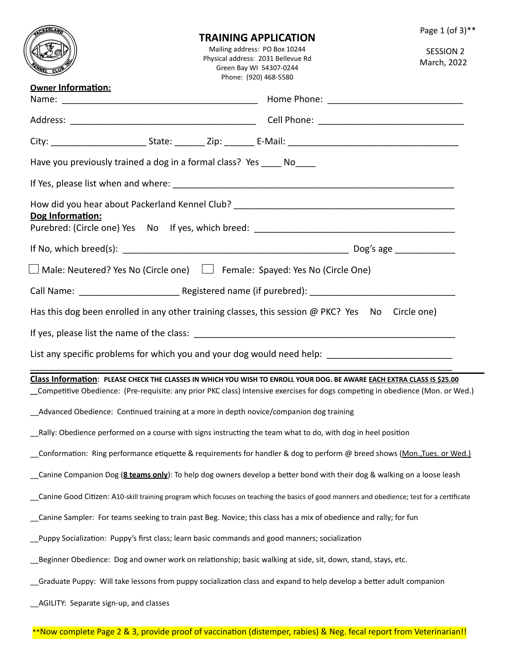|                                                                                                                          |                                                                                                                                                            | TRAINING APPLICATION | Page 1 (of 3)**                                                                                                                                                                                                                                           |  |  |  |
|--------------------------------------------------------------------------------------------------------------------------|------------------------------------------------------------------------------------------------------------------------------------------------------------|----------------------|-----------------------------------------------------------------------------------------------------------------------------------------------------------------------------------------------------------------------------------------------------------|--|--|--|
|                                                                                                                          | Mailing address: PO Box 10244<br><b>SESSION 2</b><br>Physical address: 2031 Bellevue Rd<br>March, 2022<br>Green Bay WI 54307-0244<br>Phone: (920) 468-5580 |                      |                                                                                                                                                                                                                                                           |  |  |  |
| Owner Information:                                                                                                       |                                                                                                                                                            |                      |                                                                                                                                                                                                                                                           |  |  |  |
|                                                                                                                          |                                                                                                                                                            |                      |                                                                                                                                                                                                                                                           |  |  |  |
|                                                                                                                          |                                                                                                                                                            |                      |                                                                                                                                                                                                                                                           |  |  |  |
| Have you previously trained a dog in a formal class? Yes _____ No_____                                                   |                                                                                                                                                            |                      |                                                                                                                                                                                                                                                           |  |  |  |
|                                                                                                                          |                                                                                                                                                            |                      |                                                                                                                                                                                                                                                           |  |  |  |
| Dog Information:                                                                                                         |                                                                                                                                                            |                      |                                                                                                                                                                                                                                                           |  |  |  |
|                                                                                                                          |                                                                                                                                                            |                      |                                                                                                                                                                                                                                                           |  |  |  |
| □ Male: Neutered? Yes No (Circle one)     Female: Spayed: Yes No (Circle One)                                            |                                                                                                                                                            |                      |                                                                                                                                                                                                                                                           |  |  |  |
|                                                                                                                          |                                                                                                                                                            |                      |                                                                                                                                                                                                                                                           |  |  |  |
| Has this dog been enrolled in any other training classes, this session @ PKC? Yes No Circle one)                         |                                                                                                                                                            |                      |                                                                                                                                                                                                                                                           |  |  |  |
|                                                                                                                          |                                                                                                                                                            |                      |                                                                                                                                                                                                                                                           |  |  |  |
| List any specific problems for which you and your dog would need help: ____________________________                      |                                                                                                                                                            |                      |                                                                                                                                                                                                                                                           |  |  |  |
|                                                                                                                          |                                                                                                                                                            |                      | Class Information: PLEASE CHECK THE CLASSES IN WHICH YOU WISH TO ENROLL YOUR DOG. BE AWARE EACH EXTRA CLASS IS \$25.00<br>_Competitive Obedience: (Pre-requisite: any prior PKC class) Intensive exercises for dogs competing in obedience (Mon. or Wed.) |  |  |  |
| Advanced Obedience: Continued training at a more in depth novice/companion dog training                                  |                                                                                                                                                            |                      |                                                                                                                                                                                                                                                           |  |  |  |
| Rally: Obedience performed on a course with signs instructing the team what to do, with dog in heel position             |                                                                                                                                                            |                      |                                                                                                                                                                                                                                                           |  |  |  |
| Conformation: Ring performance etiquette & requirements for handler & dog to perform @ breed shows (Mon.,Tues. or Wed.)  |                                                                                                                                                            |                      |                                                                                                                                                                                                                                                           |  |  |  |
| _Canine Companion Dog (8 teams only): To help dog owners develop a better bond with their dog & walking on a loose leash |                                                                                                                                                            |                      |                                                                                                                                                                                                                                                           |  |  |  |
|                                                                                                                          |                                                                                                                                                            |                      | Canine Good Citizen: A10-skill training program which focuses on teaching the basics of good manners and obedience; test for a certificate                                                                                                                |  |  |  |
| Canine Sampler: For teams seeking to train past Beg. Novice; this class has a mix of obedience and rally; for fun        |                                                                                                                                                            |                      |                                                                                                                                                                                                                                                           |  |  |  |
| Puppy Socialization: Puppy's first class; learn basic commands and good manners; socialization                           |                                                                                                                                                            |                      |                                                                                                                                                                                                                                                           |  |  |  |
| Beginner Obedience: Dog and owner work on relationship; basic walking at side, sit, down, stand, stays, etc.             |                                                                                                                                                            |                      |                                                                                                                                                                                                                                                           |  |  |  |
| Graduate Puppy: Will take lessons from puppy socialization class and expand to help develop a better adult companion     |                                                                                                                                                            |                      |                                                                                                                                                                                                                                                           |  |  |  |
| _AGILITY: Separate sign-up, and classes                                                                                  |                                                                                                                                                            |                      |                                                                                                                                                                                                                                                           |  |  |  |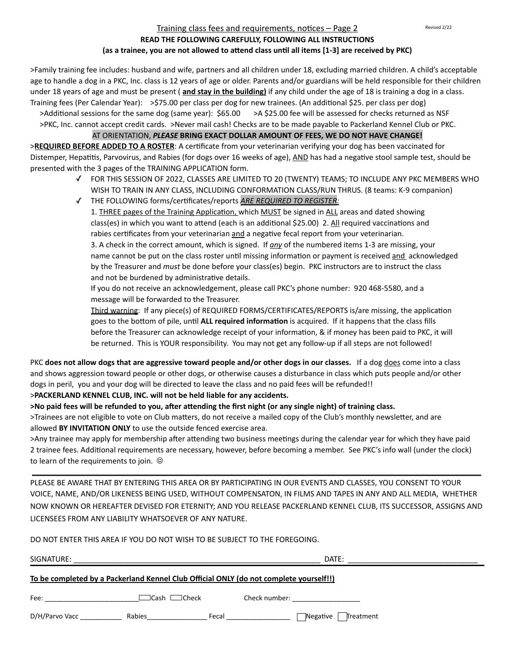# Training class fees and requirements, notices – Page 2

## **READ THE FOLLOWING CAREFULLY, FOLLOWING ALL INSTRUCTIONS** (as a trainee, you are not allowed to attend class until all items [1-3] are received by PKC)

>Family training fee includes: husband and wife, partners and all children under 18, excluding married children. A child's acceptable age to handle a dog in a PKC, Inc. class is 12 years of age or older. Parents and/or guardians will be held responsible for their children under 18 years of age and must be present (**and stay in the building)** if any child under the age of 18 is training a dog in a class. Training fees (Per Calendar Year):  $\Rightarrow$ \$75.00 per class per dog for new trainees. (An additional \$25. per class per dog)

>Additional sessions for the same dog (same year): \$65.00 > A \$25.00 fee will be assessed for checks returned as NSF >PKC, Inc. cannot accept credit cards. >Never mail cash! Checks are to be made payable to Packerland Kennel Club or PKC.

## AT ORIENTATION, PLEASE BRING EXACT DOLLAR AMOUNT OF FEES, WE DO NOT HAVE CHANGE!

>**REQUIRED BEFORE ADDED TO A ROSTER**: A certificate from your veterinarian verifying your dog has been vaccinated for Distemper, Hepatitis, Parvovirus, and Rabies (for dogs over 16 weeks of age), AND has had a negative stool sample test, should be presented with the 3 pages of the TRAINING APPLICATION form.

- √ FOR THIS SESSION OF 2022, CLASSES ARE LIMITED TO 20 (TWENTY) TEAMS; TO INCLUDE ANY PKC MEMBERS WHO WISH TO TRAIN IN ANY CLASS, INCLUDING CONFORMATION CLASS/RUN THRUS. (8 teams: K-9 companion)
- √ THE FOLLOWING forms/certificates/reports **ARE REQUIRED TO REGISTER:** 1. THREE pages of the Training Application, which MUST be signed in ALL areas and dated showing class(es) in which you want to attend (each is an additional \$25.00) 2. All required vaccinations and rabies certificates from your veterinarian and a negative fecal report from your veterinarian. 3. A check in the correct amount, which is signed. If *any* of the numbered items 1-3 are missing, your name cannot be put on the class roster until missing information or payment is received and acknowledged by the Treasurer and *must* be done before your class(es) begin. PKC instructors are to instruct the class and not be burdened by administrative details.
	- If you do not receive an acknowledgement, please call PKC's phone number: 920 468-5580, and a message will be forwarded to the Treasurer.
	- Third warning: If any piece(s) of REQUIRED FORMS/CERTIFICATES/REPORTS is/are missing, the application goes to the bottom of pile, until **ALL required information** is acquired. If it happens that the class fills before the Treasurer can acknowledge receipt of your information, & if money has been paid to PKC, it will be returned. This is YOUR responsibility. You may not get any follow-up if all steps are not followed!

PKC does not allow dogs that are aggressive toward people and/or other dogs in our classes. If a dog does come into a class and shows aggression toward people or other dogs, or otherwise causes a disturbance in class which puts people and/or other dogs in peril, you and your dog will be directed to leave the class and no paid fees will be refunded!!

### >PACKERLAND KENNEL CLUB, INC. will not be held liable for any accidents.

>No paid fees will be refunded to you, after attending the first night (or any single night) of training class.

>Trainees are not eligible to vote on Club matters, do not receive a mailed copy of the Club's monthly newsletter, and are allowed BY INVITATION ONLY to use the outside fenced exercise area.

>Any trainee may apply for membership after attending two business meetings during the calendar year for which they have paid 2 trainee fees. Additional requirements are necessary, however, before becoming a member. See PKC's info wall (under the clock) to learn of the requirements to join.  $\odot$ 

PLEASE BE AWARE THAT BY ENTERING THIS AREA OR BY PARTICIPATING IN OUR EVENTS AND CLASSES, YOU CONSENT TO YOUR VOICE, NAME, AND/OR LIKENESS BEING USED, WITHOUT COMPENSATON, IN FILMS AND TAPES IN ANY AND ALL MEDIA, WHETHER NOW KNOWN OR HEREAFTER DEVISED FOR ETERNITY; AND YOU RELEASE PACKERLAND KENNEL CLUB, ITS SUCCESSOR, ASSIGNS AND LICENSEES FROM ANY LIABILITY WHATSOEVER OF ANY NATURE.

\_\_\_\_\_\_\_\_\_\_\_\_\_\_\_\_\_\_\_\_\_\_\_\_\_\_\_\_\_\_\_\_\_\_\_\_\_\_\_\_\_\_\_\_\_\_\_\_\_\_\_\_\_\_\_\_\_\_\_\_\_\_\_\_\_\_\_\_\_\_\_\_\_\_\_\_\_\_\_\_\_\_\_\_\_\_\_\_\_\_\_\_\_\_\_\_\_\_\_\_\_\_\_\_\_\_\_\_\_\_\_\_\_\_\_\_\_\_\_\_\_\_\_\_\_\_\_\_\_\_\_\_\_\_

|  |  |  |  |  |  |  |  | DO NOT ENTER THIS AREA IF YOU DO NOT WISH TO BE SUBJECT TO THE FOREGOING. |
|--|--|--|--|--|--|--|--|---------------------------------------------------------------------------|
|--|--|--|--|--|--|--|--|---------------------------------------------------------------------------|

| SIGNATURE:                                                                                    |                          |       | DATE:                                                                                                          |
|-----------------------------------------------------------------------------------------------|--------------------------|-------|----------------------------------------------------------------------------------------------------------------|
| <u>To be completed by a Packerland Kennel Club Official ONLY (do not complete yourself!!)</u> |                          |       |                                                                                                                |
| Fee:                                                                                          | $\Box$ Cash $\Box$ Check |       | Check number: The change of the change of the change of the change of the change of the change of the change o |
| D/H/Parvo Vacc                                                                                | Rabies                   | Fecal | $\Box$ Negative  <br>Treatment                                                                                 |